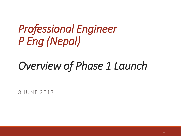# *Professional Engineer P Eng (Nepal)*

# *Overview of Phase 1 Launch*

8 JUNE 2017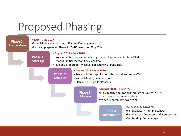### Proposed Phasing

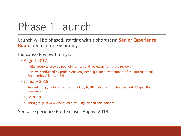# Phase 1 Launch

Launch will be phased, starting with a short term **Senior Experience Route** open for one year only

Indicative Review timings:

- August 2017
	- Initial group to provide pool of mentors and reviewers for future reviews
	- Reviews conducted by professional engineers qualified by members of the International Engineering Alliance (IEA)
- January 2018
	- Second group, reviews conducted jointly by PEng (Nepal) title holders and IEA qualified reviewers
- July 2018
	- Third group, reviews conducted by PEng (Nepal) title holders

Senior Experience Route closes August 2018.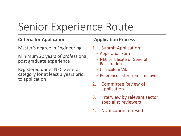### Senior Experience Route

#### **Criteria for Application**

Master's degree in Engineering

Minimum 20 years of professional, post graduate experience

Registered under NEC General category for at least 2 years prior to application

#### **Application Process**

- 1. Submit Application:
	- Application Form
	- NEC certificate of General Registration
	- Curriculum Vitae
	- Reference letter from employer
- 2. Committee Review of application
- 3. Interview by relevant sector specialist reviewers
- 4. Notification of results